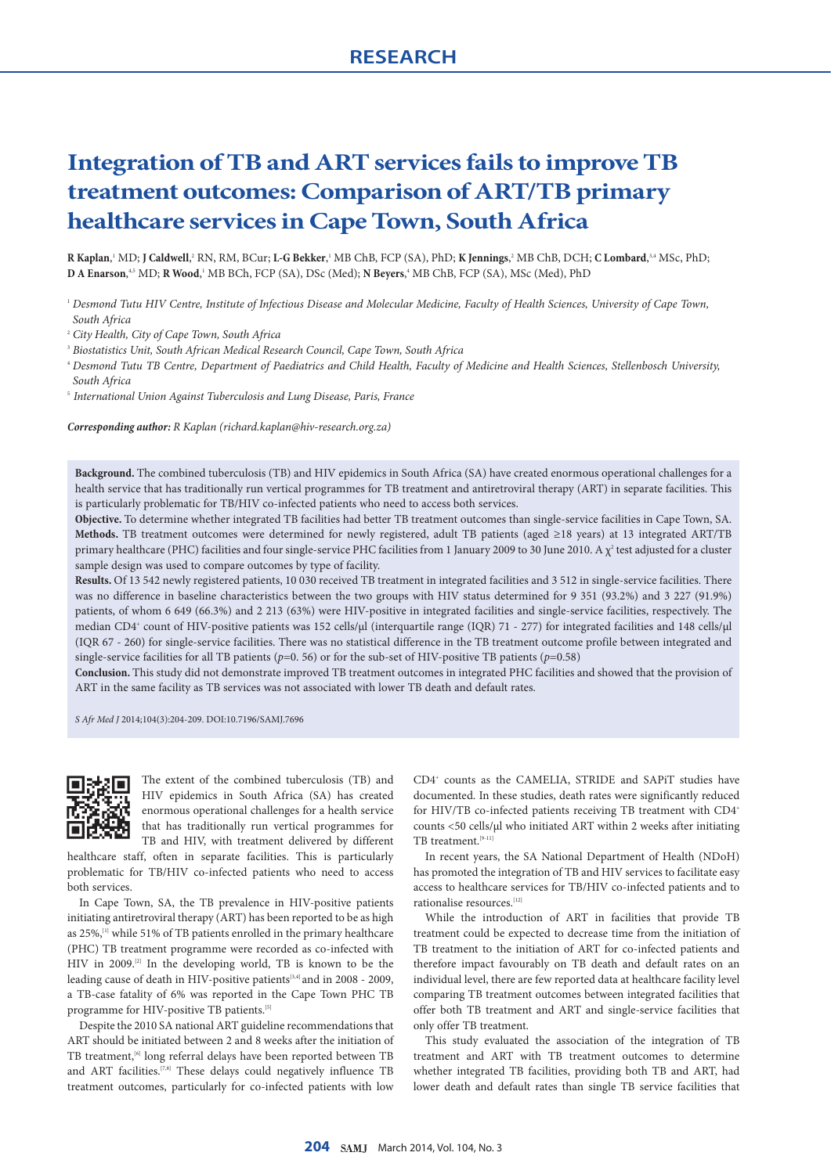# **Integration of TB and ART services fails to improve TB treatment outcomes: Comparison of ART/TB primary healthcare services in Cape Town, South Africa**

**R Kaplan,'** MD; **J Caldwell,'** RN, RM, BCur; **L-G Bekker,'** MB ChB, FCP (SA), PhD; **K Jennings,'** MB ChB, DCH; **C Lombard**, $^{34}$  MSc, PhD; **D A Enarson**, 4,5 MD; **R Wood**, 1 MB BCh, FCP (SA), DSc (Med); **N Beyers**, 4 MB ChB, FCP (SA), MSc (Med), PhD

<sup>1</sup> *Desmond Tutu HIV Centre, Institute of Infectious Disease and Molecular Medicine, Faculty of Health Sciences, University of Cape Town, South Africa*

<sup>2</sup> *City Health, City of Cape Town, South Africa*

<sup>3</sup> *Biostatistics Unit, South African Medical Research Council, Cape Town, South Africa*

<sup>4</sup> *Desmond Tutu TB Centre, Department of Paediatrics and Child Health, Faculty of Medicine and Health Sciences, Stellenbosch University, South Africa*

<sup>5</sup>*International Union Against Tuberculosis and Lung Disease, Paris, France*

*Corresponding author: R Kaplan ([richard.kaplan@hiv-research.org.za\)](mailto:richard.kaplan@hiv-research.org.za)*

**Background.** The combined tuberculosis (TB) and HIV epidemics in South Africa (SA) have created enormous operational challenges for a health service that has traditionally run vertical programmes for TB treatment and antiretroviral therapy (ART) in separate facilities. This is particularly problematic for TB/HIV co-infected patients who need to access both services.

**Objective.** To determine whether integrated TB facilities had better TB treatment outcomes than single-service facilities in Cape Town, SA. **Methods.** TB treatment outcomes were determined for newly registered, adult TB patients (aged ≥18 years) at 13 integrated ART/TB primary healthcare (PHC) facilities and four single-service PHC facilities from 1 January 2009 to 30 June 2010. A  $\chi^2$  test adjusted for a cluster sample design was used to compare outcomes by type of facility.

**Results.** Of 13 542 newly registered patients, 10 030 received TB treatment in integrated facilities and 3 512 in single-service facilities. There was no difference in baseline characteristics between the two groups with HIV status determined for 9 351 (93.2%) and 3 227 (91.9%) patients, of whom 6 649 (66.3%) and 2 213 (63%) were HIV-positive in integrated facilities and single-service facilities, respectively. The median CD4+ count of HIV-positive patients was 152 cells/µl (interquartile range (IQR) 71 - 277) for integrated facilities and 148 cells/µl (IQR 67 - 260) for single-service facilities. There was no statistical difference in the TB treatment outcome profile between integrated and single-service facilities for all TB patients (*p*=0. 56) or for the sub-set of HIV-positive TB patients (*p*=0.58)

**Conclusion.** This study did not demonstrate improved TB treatment outcomes in integrated PHC facilities and showed that the provision of ART in the same facility as TB services was not associated with lower TB death and default rates.

*S Afr Med J* 2014;104(3):204-209. DOI:10.7196/SAMJ.7696



The extent of the combined tuberculosis (TB) and HIV epidemics in South Africa (SA) has created enormous operational challenges for a health service that has traditionally run vertical programmes for TB and HIV, with treatment delivered by different

healthcare staff, often in separate facilities. This is particularly problematic for TB/HIV co-infected patients who need to access both services.

In Cape Town, SA, the TB prevalence in HIV-positive patients initiating antiretroviral therapy (ART) has been reported to be as high as 25%,<sup>[1]</sup> while 51% of TB patients enrolled in the primary healthcare (PHC) TB treatment programme were recorded as co-infected with HIV in 2009.<sup>[2]</sup> In the developing world, TB is known to be the leading cause of death in HIV-positive patients  $^{[3,4]}$  and in 2008 - 2009, a TB-case fatality of 6% was reported in the Cape Town PHC TB programme for HIV-positive TB patients.<sup>[5]</sup>

Despite the 2010 SA national ART guideline recommendations that ART should be initiated between 2 and 8 weeks after the initiation of TB treatment,<sup>[6]</sup> long referral delays have been reported between TB and ART facilities.<sup>[7,8]</sup> These delays could negatively influence TB treatment outcomes, particularly for co-infected patients with low

CD4+ counts as the CAMELIA, STRIDE and SAPiT studies have documented. In these studies, death rates were significantly reduced for HIV/TB co-infected patients receiving TB treatment with CD4<sup>+</sup> counts <50 cells/μl who initiated ART within 2 weeks after initiating TB treatment.<sup>[9-11]</sup>

In recent years, the SA National Department of Health (NDoH) has promoted the integration of TB and HIV services to facilitate easy access to healthcare services for TB/HIV co-infected patients and to rationalise resources.[12]

While the introduction of ART in facilities that provide TB treatment could be expected to decrease time from the initiation of TB treatment to the initiation of ART for co-infected patients and therefore impact favourably on TB death and default rates on an individual level, there are few reported data at healthcare facility level comparing TB treatment outcomes between integrated facilities that offer both TB treatment and ART and single-service facilities that only offer TB treatment.

This study evaluated the association of the integration of TB treatment and ART with TB treatment outcomes to determine whether integrated TB facilities, providing both TB and ART, had lower death and default rates than single TB service facilities that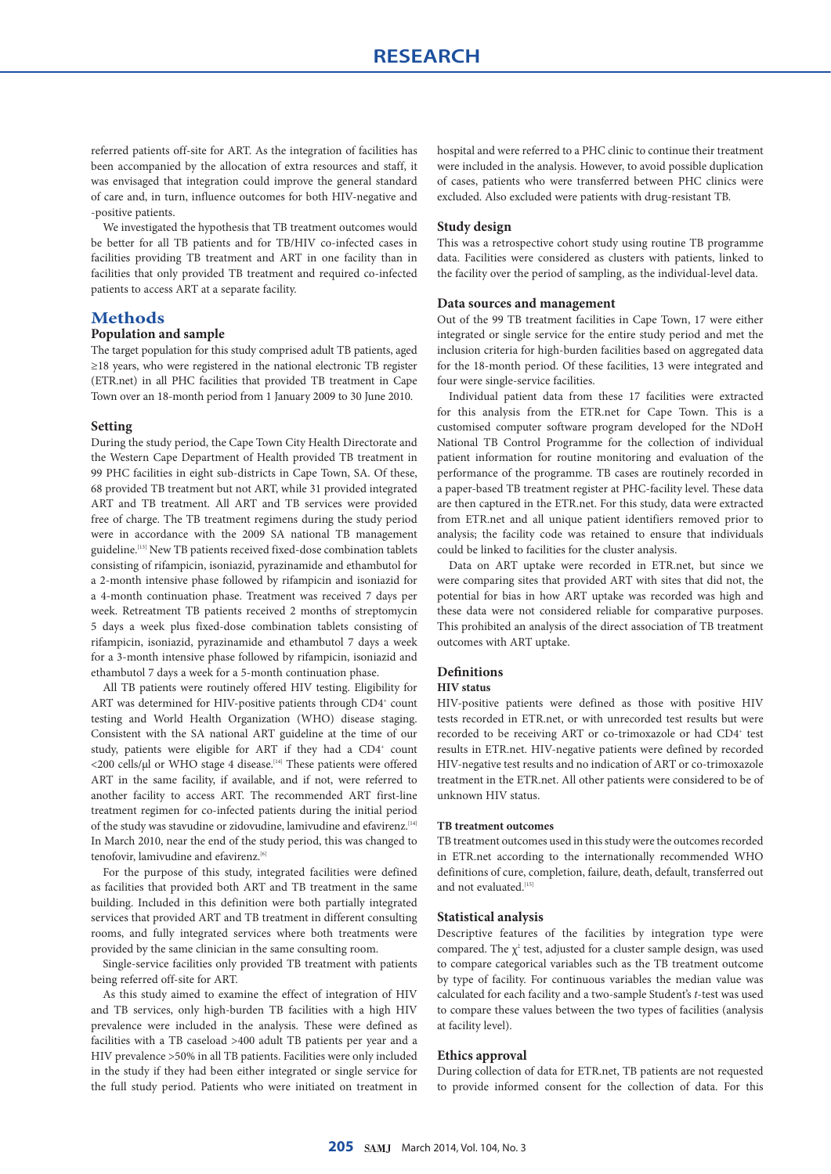referred patients off-site for ART. As the integration of facilities has been accompanied by the allocation of extra resources and staff, it was envisaged that integration could improve the general standard of care and, in turn, influence outcomes for both HIV-negative and -positive patients.

We investigated the hypothesis that TB treatment outcomes would be better for all TB patients and for TB/HIV co-infected cases in facilities providing TB treatment and ART in one facility than in facilities that only provided TB treatment and required co-infected patients to access ART at a separate facility.

## **Methods**

## **Population and sample**

The target population for this study comprised adult TB patients, aged ≥18 years, who were registered in the national electronic TB register (ETR.net) in all PHC facilities that provided TB treatment in Cape Town over an 18-month period from 1 January 2009 to 30 June 2010.

### **Setting**

During the study period, the Cape Town City Health Directorate and the Western Cape Department of Health provided TB treatment in 99 PHC facilities in eight sub-districts in Cape Town, SA. Of these, 68 provided TB treatment but not ART, while 31 provided integrated ART and TB treatment. All ART and TB services were provided free of charge. The TB treatment regimens during the study period were in accordance with the 2009 SA national TB management guideline.<sup>[13]</sup> New TB patients received fixed-dose combination tablets consisting of rifampicin, isoniazid, pyrazinamide and ethambutol for a 2-month intensive phase followed by rifampicin and isoniazid for a 4-month continuation phase. Treatment was received 7 days per week. Retreatment TB patients received 2 months of streptomycin 5 days a week plus fixed-dose combination tablets consisting of rifampicin, isoniazid, pyrazinamide and ethambutol 7 days a week for a 3-month intensive phase followed by rifampicin, isoniazid and ethambutol 7 days a week for a 5-month continuation phase.

All TB patients were routinely offered HIV testing. Eligibility for ART was determined for HIV-positive patients through CD4<sup>+</sup> count testing and World Health Organization (WHO) disease staging. Consistent with the SA national ART guideline at the time of our study, patients were eligible for ART if they had a CD4<sup>+</sup> count <200 cells/μl or WHO stage 4 disease.<sup>[14]</sup> These patients were offered ART in the same facility, if available, and if not, were referred to another facility to access ART. The recommended ART first-line treatment regimen for co-infected patients during the initial period of the study was stavudine or zidovudine, lamivudine and efavirenz.<sup>[14]</sup> In March 2010, near the end of the study period, this was changed to tenofovir, lamivudine and efavirenz.<sup>[6]</sup>

For the purpose of this study, integrated facilities were defined as facilities that provided both ART and TB treatment in the same building. Included in this definition were both partially integrated services that provided ART and TB treatment in different consulting rooms, and fully integrated services where both treatments were provided by the same clinician in the same consulting room.

Single-service facilities only provided TB treatment with patients being referred off-site for ART.

As this study aimed to examine the effect of integration of HIV and TB services, only high-burden TB facilities with a high HIV prevalence were included in the analysis. These were defined as facilities with a TB caseload >400 adult TB patients per year and a HIV prevalence >50% in all TB patients. Facilities were only included in the study if they had been either integrated or single service for the full study period. Patients who were initiated on treatment in hospital and were referred to a PHC clinic to continue their treatment were included in the analysis. However, to avoid possible duplication of cases, patients who were transferred between PHC clinics were excluded. Also excluded were patients with drug-resistant TB.

### **Study design**

This was a retrospective cohort study using routine TB programme data. Facilities were considered as clusters with patients, linked to the facility over the period of sampling, as the individual-level data.

### **Data sources and management**

Out of the 99 TB treatment facilities in Cape Town, 17 were either integrated or single service for the entire study period and met the inclusion criteria for high-burden facilities based on aggregated data for the 18-month period. Of these facilities, 13 were integrated and four were single-service facilities.

Individual patient data from these 17 facilities were extracted for this analysis from the ETR.net for Cape Town. This is a customised computer software program developed for the NDoH National TB Control Programme for the collection of individual patient information for routine monitoring and evaluation of the performance of the programme. TB cases are routinely recorded in a paper-based TB treatment register at PHC-facility level. These data are then captured in the ETR.net. For this study, data were extracted from ETR.net and all unique patient identifiers removed prior to analysis; the facility code was retained to ensure that individuals could be linked to facilities for the cluster analysis.

Data on ART uptake were recorded in ETR.net, but since we were comparing sites that provided ART with sites that did not, the potential for bias in how ART uptake was recorded was high and these data were not considered reliable for comparative purposes. This prohibited an analysis of the direct association of TB treatment outcomes with ART uptake.

#### **Definitions**

## **HIV status**

HIV-positive patients were defined as those with positive HIV tests recorded in ETR.net, or with unrecorded test results but were recorded to be receiving ART or co-trimoxazole or had CD4<sup>+</sup> test results in ETR.net. HIV-negative patients were defined by recorded HIV-negative test results and no indication of ART or co-trimoxazole treatment in the ETR.net. All other patients were considered to be of unknown HIV status.

### **TB treatment outcomes**

TB treatment outcomes used in this study were the outcomes recorded in ETR.net according to the internationally recommended WHO definitions of cure, completion, failure, death, default, transferred out and not evaluated.[15]

#### **Statistical analysis**

Descriptive features of the facilities by integration type were compared. The  $\chi^2$  test, adjusted for a cluster sample design, was used to compare categorical variables such as the TB treatment outcome by type of facility. For continuous variables the median value was calculated for each facility and a two-sample Student's *t*-test was used to compare these values between the two types of facilities (analysis at facility level).

#### **Ethics approval**

During collection of data for ETR.net, TB patients are not requested to provide informed consent for the collection of data. For this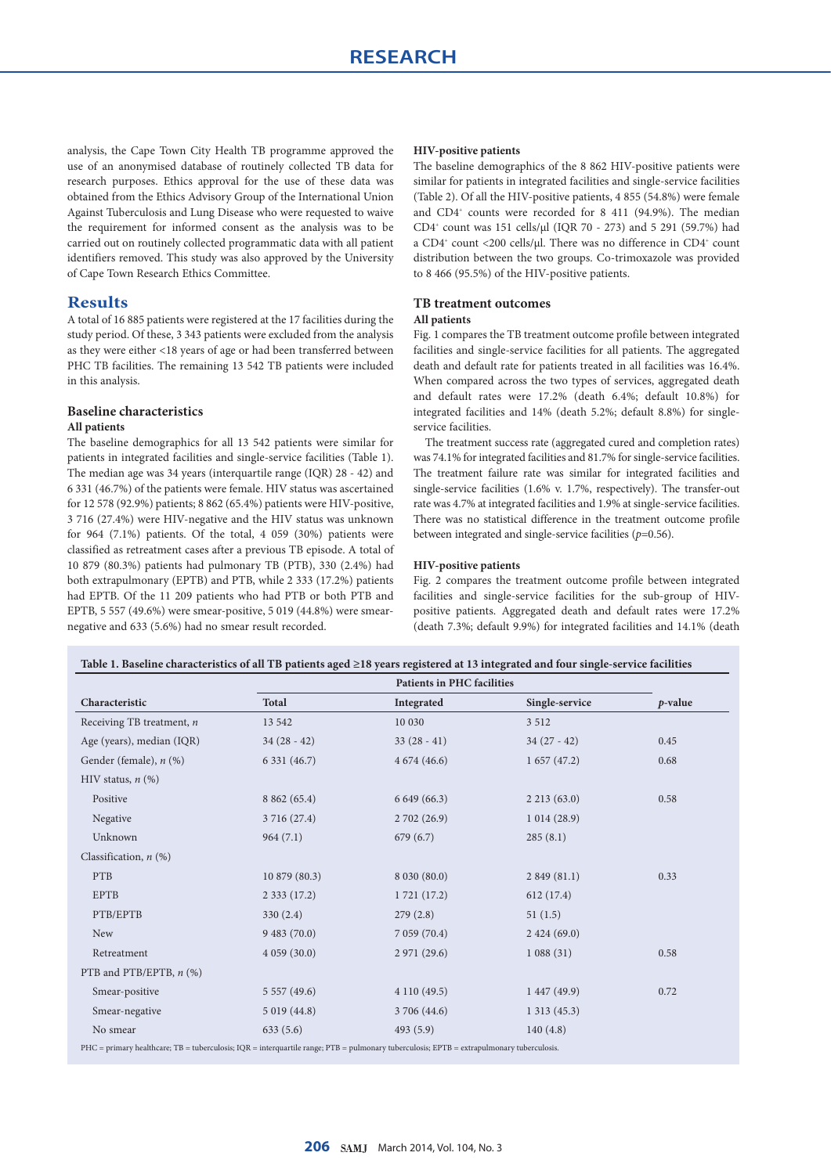## **RESEARCH**

analysis, the Cape Town City Health TB programme approved the use of an anonymised database of routinely collected TB data for research purposes. Ethics approval for the use of these data was obtained from the Ethics Advisory Group of the International Union Against Tuberculosis and Lung Disease who were requested to waive the requirement for informed consent as the analysis was to be carried out on routinely collected programmatic data with all patient identifiers removed. This study was also approved by the University of Cape Town Research Ethics Committee.

## **Results**

A total of 16 885 patients were registered at the 17 facilities during the study period. Of these, 3 343 patients were excluded from the analysis as they were either <18 years of age or had been transferred between PHC TB facilities. The remaining 13 542 TB patients were included in this analysis.

## **Baseline characteristics**

## **All patients**

The baseline demographics for all 13 542 patients were similar for patients in integrated facilities and single-service facilities (Table 1). The median age was 34 years (interquartile range (IQR) 28 - 42) and 6 331 (46.7%) of the patients were female. HIV status was ascertained for 12 578 (92.9%) patients; 8 862 (65.4%) patients were HIV-positive, 3 716 (27.4%) were HIV-negative and the HIV status was unknown for 964 (7.1%) patients. Of the total, 4 059 (30%) patients were classified as retreatment cases after a previous TB episode. A total of 10 879 (80.3%) patients had pulmonary TB (PTB), 330 (2.4%) had both extrapulmonary (EPTB) and PTB, while 2 333 (17.2%) patients had EPTB. Of the 11 209 patients who had PTB or both PTB and EPTB, 5 557 (49.6%) were smear-positive, 5 019 (44.8%) were smearnegative and 633 (5.6%) had no smear result recorded.

#### **HIV-positive patients**

The baseline demographics of the 8 862 HIV-positive patients were similar for patients in integrated facilities and single-service facilities (Table 2). Of all the HIV-positive patients, 4 855 (54.8%) were female and CD4<sup>+</sup> counts were recorded for 8 411 (94.9%). The median CD4+ count was 151 cells/μl (IQR 70 - 273) and 5 291 (59.7%) had a CD4<sup>+</sup> count <200 cells/µl. There was no difference in CD4<sup>+</sup> count distribution between the two groups. Co-trimoxazole was provided to 8 466 (95.5%) of the HIV-positive patients.

## **TB treatment outcomes**

## **All patients**

Fig. 1 compares the TB treatment outcome profile between integrated facilities and single-service facilities for all patients. The aggregated death and default rate for patients treated in all facilities was 16.4%. When compared across the two types of services, aggregated death and default rates were 17.2% (death 6.4%; default 10.8%) for integrated facilities and 14% (death 5.2%; default 8.8%) for singleservice facilities.

The treatment success rate (aggregated cured and completion rates) was 74.1% for integrated facilities and 81.7% for single-service facilities. The treatment failure rate was similar for integrated facilities and single-service facilities (1.6% v. 1.7%, respectively). The transfer-out rate was 4.7% at integrated facilities and 1.9% at single-service facilities. There was no statistical difference in the treatment outcome profile between integrated and single-service facilities (*p*=0.56).

#### **HIV-positive patients**

Fig. 2 compares the treatment outcome profile between integrated facilities and single-service facilities for the sub-group of HIVpositive patients. Aggregated death and default rates were 17.2% (death 7.3%; default 9.9%) for integrated facilities and 14.1% (death

|                                                                                                                                                   |                | <b>Patients in PHC facilities</b> |                |            |  |  |  |
|---------------------------------------------------------------------------------------------------------------------------------------------------|----------------|-----------------------------------|----------------|------------|--|--|--|
| Characteristic                                                                                                                                    | <b>Total</b>   | Integrated                        | Single-service | $p$ -value |  |  |  |
| Receiving TB treatment, n                                                                                                                         | 13 542         | 10 030                            | 3 5 1 2        |            |  |  |  |
| Age (years), median (IQR)                                                                                                                         | $34(28-42)$    | $33(28-41)$                       | $34(27-42)$    | 0.45       |  |  |  |
| Gender (female), $n$ (%)                                                                                                                          | 6 331 (46.7)   | 4674(46.6)                        | 1657(47.2)     | 0.68       |  |  |  |
| HIV status, $n$ (%)                                                                                                                               |                |                                   |                |            |  |  |  |
| Positive                                                                                                                                          | 8 8 6 2 (65.4) | 6649(66.3)                        | 2213(63.0)     | 0.58       |  |  |  |
| Negative                                                                                                                                          | 3 716 (27.4)   | 2702(26.9)                        | 1014(28.9)     |            |  |  |  |
| Unknown                                                                                                                                           | 964(7.1)       | 679(6.7)                          | 285(8.1)       |            |  |  |  |
| Classification, $n$ (%)                                                                                                                           |                |                                   |                |            |  |  |  |
| <b>PTB</b>                                                                                                                                        | 10 879 (80.3)  | 8 030 (80.0)                      | 2849(81.1)     | 0.33       |  |  |  |
| <b>EPTB</b>                                                                                                                                       | 2333(17.2)     | 1721(17.2)                        | 612(17.4)      |            |  |  |  |
| PTB/EPTB                                                                                                                                          | 330(2.4)       | 279(2.8)                          | 51(1.5)        |            |  |  |  |
| <b>New</b>                                                                                                                                        | 9483(70.0)     | 7059(70.4)                        | 2424(69.0)     |            |  |  |  |
| Retreatment                                                                                                                                       | 4059(30.0)     | 2971(29.6)                        | 1088(31)       | 0.58       |  |  |  |
| PTB and PTB/EPTB, n (%)                                                                                                                           |                |                                   |                |            |  |  |  |
| Smear-positive                                                                                                                                    | 5557(49.6)     | 4 110 (49.5)                      | 1447(49.9)     | 0.72       |  |  |  |
| Smear-negative                                                                                                                                    | 5019(44.8)     | 3 706 (44.6)                      | 1313(45.3)     |            |  |  |  |
| No smear                                                                                                                                          | 633(5.6)       | 493(5.9)                          | 140(4.8)       |            |  |  |  |
| $PHC =$ primary healthcare; TB = tuberculosis; $IQR =$ interquartile range; $PTB =$ pulmonary tuberculosis; $EPTB =$ extrapulmonary tuberculosis. |                |                                   |                |            |  |  |  |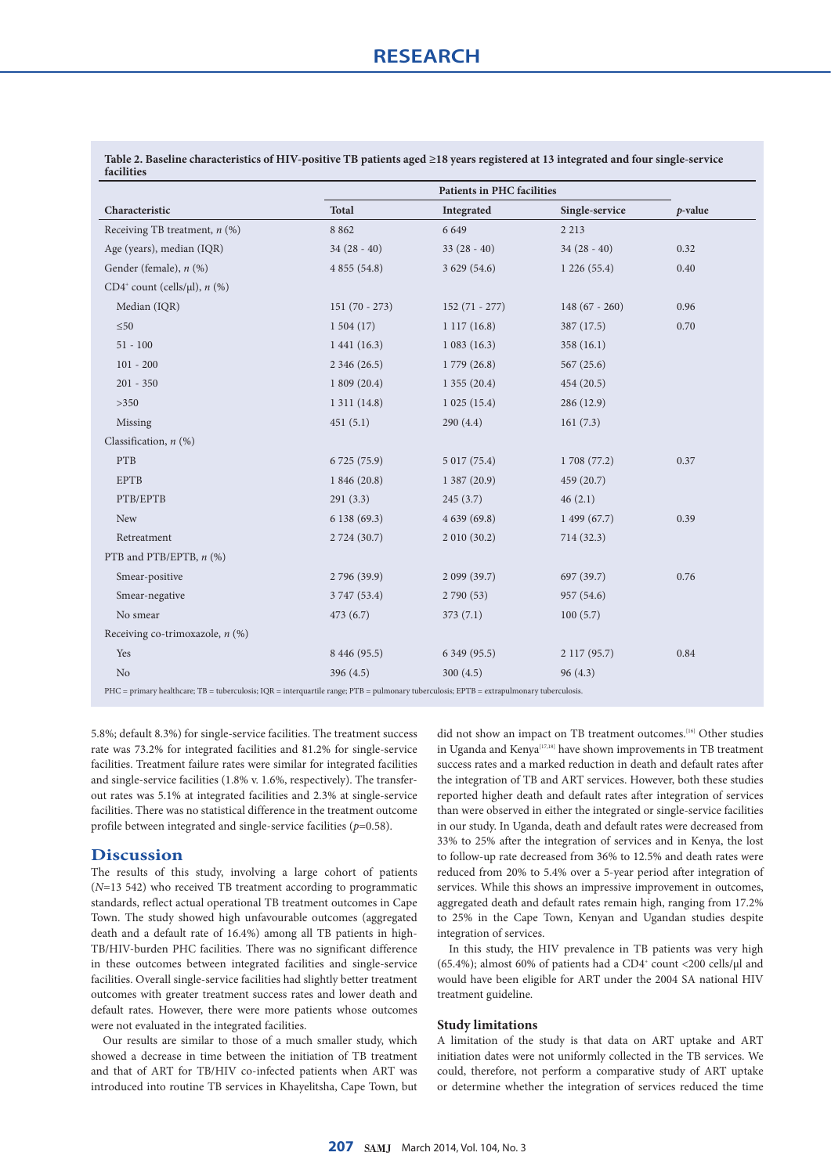| Characteristic                                        | <b>Patients in PHC facilities</b> |                 |                 |            |
|-------------------------------------------------------|-----------------------------------|-----------------|-----------------|------------|
|                                                       | <b>Total</b>                      | Integrated      | Single-service  | $p$ -value |
| Receiving TB treatment, n (%)                         | 8 8 6 2                           | 6 6 4 9         | 2 2 1 3         |            |
| Age (years), median (IQR)                             | $34(28-40)$                       | $33(28-40)$     | $34(28-40)$     | 0.32       |
| Gender (female), n (%)                                | 4855(54.8)                        | 3629(54.6)      | 1226(55.4)      | 0.40       |
| CD4 <sup>+</sup> count (cells/ $\mu$ l), <i>n</i> (%) |                                   |                 |                 |            |
| Median (IQR)                                          | $151(70 - 273)$                   | $152(71 - 277)$ | $148(67 - 260)$ | 0.96       |
| $\leq 50$                                             | 1504(17)                          | 1117(16.8)      | 387 (17.5)      | 0.70       |
| $51 - 100$                                            | 1441(16.3)                        | 1083(16.3)      | 358(16.1)       |            |
| $101 - 200$                                           | 2 346 (26.5)                      | 1779(26.8)      | 567(25.6)       |            |
| $201 - 350$                                           | 1809(20.4)                        | 1355(20.4)      | 454 (20.5)      |            |
| >350                                                  | 1311(14.8)                        | 1025(15.4)      | 286 (12.9)      |            |
| Missing                                               | 451(5.1)                          | 290(4.4)        | 161(7.3)        |            |
| Classification, $n$ (%)                               |                                   |                 |                 |            |
| <b>PTB</b>                                            | 6725 (75.9)                       | 5 017 (75.4)    | 1708 (77.2)     | 0.37       |
| <b>EPTB</b>                                           | 1846(20.8)                        | 1387(20.9)      | 459 (20.7)      |            |
| PTB/EPTB                                              | 291(3.3)                          | 245(3.7)        | 46(2.1)         |            |
| New                                                   | 6 138 (69.3)                      | 4639(69.8)      | 1499(67.7)      | 0.39       |
| Retreatment                                           | 2 724 (30.7)                      | 2010(30.2)      | 714 (32.3)      |            |
| PTB and PTB/EPTB, n (%)                               |                                   |                 |                 |            |
| Smear-positive                                        | 2796 (39.9)                       | 2 099 (39.7)    | 697 (39.7)      | 0.76       |
| Smear-negative                                        | 3 747 (53.4)                      | 2 790 (53)      | 957 (54.6)      |            |
| No smear                                              | 473(6.7)                          | 373(7.1)        | 100(5.7)        |            |
| Receiving co-trimoxazole, n (%)                       |                                   |                 |                 |            |
| Yes                                                   | 8 4 4 6 (95.5)                    | 6349(95.5)      | 2 117 (95.7)    | 0.84       |
| N <sub>o</sub>                                        | 396(4.5)                          | 300(4.5)        | 96(4.3)         |            |

**Table 2. Baseline characteristics of HIV-positive TB patients aged ≥18 years registered at 13 integrated and four single-service facilities**

5.8%; default 8.3%) for single-service facilities. The treatment success rate was 73.2% for integrated facilities and 81.2% for single-service facilities. Treatment failure rates were similar for integrated facilities and single-service facilities (1.8% v. 1.6%, respectively). The transferout rates was 5.1% at integrated facilities and 2.3% at single-service facilities. There was no statistical difference in the treatment outcome profile between integrated and single-service facilities (*p*=0.58).

## **Discussion**

The results of this study, involving a large cohort of patients (*N*=13 542) who received TB treatment according to programmatic standards, reflect actual operational TB treatment outcomes in Cape Town. The study showed high unfavourable outcomes (aggregated death and a default rate of 16.4%) among all TB patients in high-TB/HIV-burden PHC facilities. There was no significant difference in these outcomes between integrated facilities and single-service facilities. Overall single-service facilities had slightly better treatment outcomes with greater treatment success rates and lower death and default rates. However, there were more patients whose outcomes were not evaluated in the integrated facilities.

Our results are similar to those of a much smaller study, which showed a decrease in time between the initiation of TB treatment and that of ART for TB/HIV co-infected patients when ART was introduced into routine TB services in Khayelitsha, Cape Town, but did not show an impact on TB treatment outcomes.<sup>[16]</sup> Other studies in Uganda and Kenya[17,18] have shown improvements in TB treatment success rates and a marked reduction in death and default rates after the integration of TB and ART services. However, both these studies reported higher death and default rates after integration of services than were observed in either the integrated or single-service facilities in our study. In Uganda, death and default rates were decreased from 33% to 25% after the integration of services and in Kenya, the lost to follow-up rate decreased from 36% to 12.5% and death rates were reduced from 20% to 5.4% over a 5-year period after integration of services. While this shows an impressive improvement in outcomes, aggregated death and default rates remain high, ranging from 17.2% to 25% in the Cape Town, Kenyan and Ugandan studies despite integration of services.

In this study, the HIV prevalence in TB patients was very high (65.4%); almost 60% of patients had a CD4<sup>+</sup> count <200 cells/ $\mu$ l and would have been eligible for ART under the 2004 SA national HIV treatment guideline.

### **Study limitations**

A limitation of the study is that data on ART uptake and ART initiation dates were not uniformly collected in the TB services. We could, therefore, not perform a comparative study of ART uptake or determine whether the integration of services reduced the time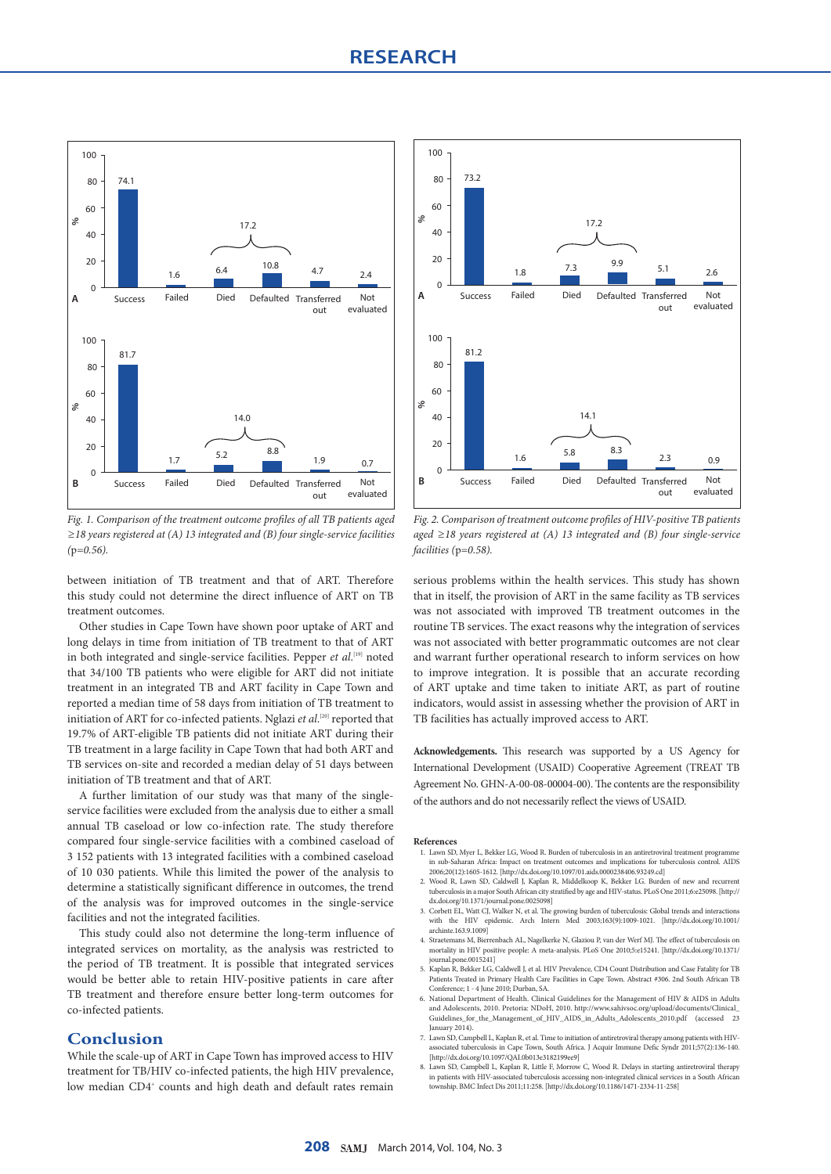

*Fig. 1. Comparison of the treatment outcome profiles of all TB patients aged ≥18 years registered at (A) 13 integrated and (B) four single-service facilities (*p*=0.56).*

between initiation of TB treatment and that of ART. Therefore this study could not determine the direct influence of ART on TB treatment outcomes.

Other studies in Cape Town have shown poor uptake of ART and long delays in time from initiation of TB treatment to that of ART in both integrated and single-service facilities. Pepper *et al*. [19] noted that 34/100 TB patients who were eligible for ART did not initiate treatment in an integrated TB and ART facility in Cape Town and reported a median time of 58 days from initiation of TB treatment to initiation of ART for co-infected patients. Nglazi *et al*. [20] reported that 19.7% of ART-eligible TB patients did not initiate ART during their TB treatment in a large facility in Cape Town that had both ART and TB services on-site and recorded a median delay of 51 days between initiation of TB treatment and that of ART.

A further limitation of our study was that many of the singleservice facilities were excluded from the analysis due to either a small annual TB caseload or low co-infection rate. The study therefore compared four single-service facilities with a combined caseload of 3 152 patients with 13 integrated facilities with a combined caseload of 10 030 patients. While this limited the power of the analysis to determine a statistically significant difference in outcomes, the trend of the analysis was for improved outcomes in the single-service facilities and not the integrated facilities.

This study could also not determine the long-term influence of integrated services on mortality, as the analysis was restricted to the period of TB treatment. It is possible that integrated services would be better able to retain HIV-positive patients in care after TB treatment and therefore ensure better long-term outcomes for co-infected patients.

## **Conclusion**

While the scale-up of ART in Cape Town has improved access to HIV treatment for TB/HIV co-infected patients, the high HIV prevalence, low median CD4<sup>+</sup> counts and high death and default rates remain



*Fig. 2. Comparison of treatment outcome profiles of HIV-positive TB patients aged ≥18 years registered at (A) 13 integrated and (B) four single-service facilities (*p*=0.58).*

serious problems within the health services. This study has shown that in itself, the provision of ART in the same facility as TB services was not associated with improved TB treatment outcomes in the routine TB services. The exact reasons why the integration of services was not associated with better programmatic outcomes are not clear and warrant further operational research to inform services on how to improve integration. It is possible that an accurate recording of ART uptake and time taken to initiate ART, as part of routine indicators, would assist in assessing whether the provision of ART in TB facilities has actually improved access to ART.

**Acknowledgements.** This research was supported by a US Agency for International Development (USAID) Cooperative Agreement (TREAT TB Agreement No. GHN-A-00-08-00004-00). The contents are the responsibility of the authors and do not necessarily reflect the views of USAID.

#### **References**

- 1. Lawn SD, Myer L, Bekker LG, Wood R. Burden of tuberculosis in an antiretroviral treatment progr in sub-Saharan Africa: Impact on treatment outcomes and implications for tuberculosis control. AIDS 2006;20(12):1605-1612. [[http://dx.doi.org/10.1097/01.aids.0000238406.93249.cd\]](http://dx.doi.org/10.1097/01.aids.0000238406.93249.cd])
- 2. Wood R, Lawn SD, Caldwell J, Kaplan R, Middelkoop K, Bekker LG, Burden of new and recurrent tuberculosis in a major South African city stratified by age and HIV-status. PLoS One 2011;6:e25098. [[http://](http://dx.doi.org/10.1371/journal.pone.0025098]) [dx.doi.org/10.1371/journal.pone.0025098\]](http://dx.doi.org/10.1371/journal.pone.0025098])
- 3. Corbett EL, Watt CJ, Walker N, et al. The growing burden of tuberculosis: Global trends and interactions with the HIV epidemic. Arch Intern Med 2003;163(9):1009-1021. [[http://dx.doi.org/10.1001/](http://dx.doi.org/10.1001/archinte.163.9.1009]) [archinte.163.9.1009\]](http://dx.doi.org/10.1001/archinte.163.9.1009])<br>4. Straetemans M, Bierrenbach AL, Nagelkerke N, Glaziou P, van der Werf MJ. The effect of tuberculos
- 4. Straetemans M, Bierrenbach AL, Nagelkerke N, Glaziou P, van der Werf MJ. The effect of tuberculosis on mortality in HIV positive people: A meta-analysis. PLoS One 2010;5:e15241. [[http://dx.doi.org/10.1371/](http://dx.doi.org/10.1371/journal.pone.0015241])<br>journal.pone.
- 5. Kaplan R, Bekker LG, Caldwell J, et al. HIV Prevalence, CD4 Count Distribution and Case Fatality for TB Patients Treated in Primary Health Care Facilities in Cape Town. Abstract #306. 2nd South African TB Conference; 1 - 4 June 2010; Durban, SA.
- 6. National Department of Health. Clinical Guidelines for the Management of HIV & AIDS in Adults and Adolescents, 2010. Pretoria: NDoH, 2010. http://www.sahivsoc.org/upload/doc Guidelines for the Management of HIV AIDS in Adults Adolescents 2010.pdf (accessed 23 January 2014).
- 7. Lawn SD, Campbell L, Kaplan R, et al. Time to initiation of antiretroviral therapy among patients with HIVassociated tuberculosis in Cape Town, South Africa. J Acquir Immune Defic Syndr 2011;57(2):136-140. [\[http://dx.doi.org/10.1097/QAI.0b013e3182199ee9\]](http://dx.doi.org/10.1097/QAI.0b013e3182199ee9])
- 8. Lawn SD, Campbell L, Kaplan R, Little F, Morrow C, Wood R. Delays in starting antiretroviral therapy in patients with HIV-associated tuberculosis accessing non-integrated clinical services in a South African township. BMC Infect Dis 2011;11:258. [\[http://dx.doi.org/10.1186/1471-2334-11-258\]](http://dx.doi.org/10.1186/1471-2334-11-258])